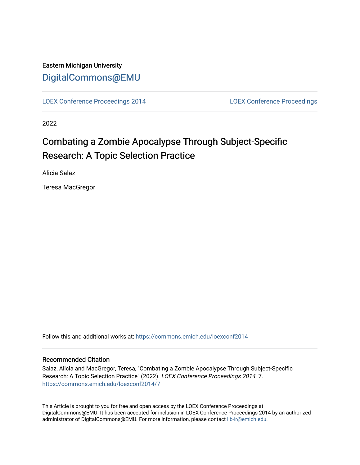# Eastern Michigan University [DigitalCommons@EMU](https://commons.emich.edu/)

[LOEX Conference Proceedings 2014](https://commons.emich.edu/loexconf2014) [LOEX Conference Proceedings](https://commons.emich.edu/loexconf) 

2022

# Combating a Zombie Apocalypse Through Subject-Specific Research: A Topic Selection Practice

Alicia Salaz

Teresa MacGregor

Follow this and additional works at: [https://commons.emich.edu/loexconf2014](https://commons.emich.edu/loexconf2014?utm_source=commons.emich.edu%2Floexconf2014%2F7&utm_medium=PDF&utm_campaign=PDFCoverPages) 

### Recommended Citation

Salaz, Alicia and MacGregor, Teresa, "Combating a Zombie Apocalypse Through Subject-Specific Research: A Topic Selection Practice" (2022). LOEX Conference Proceedings 2014. 7. [https://commons.emich.edu/loexconf2014/7](https://commons.emich.edu/loexconf2014/7?utm_source=commons.emich.edu%2Floexconf2014%2F7&utm_medium=PDF&utm_campaign=PDFCoverPages) 

This Article is brought to you for free and open access by the LOEX Conference Proceedings at DigitalCommons@EMU. It has been accepted for inclusion in LOEX Conference Proceedings 2014 by an authorized administrator of DigitalCommons@EMU. For more information, please contact [lib-ir@emich.edu](mailto:lib-ir@emich.edu).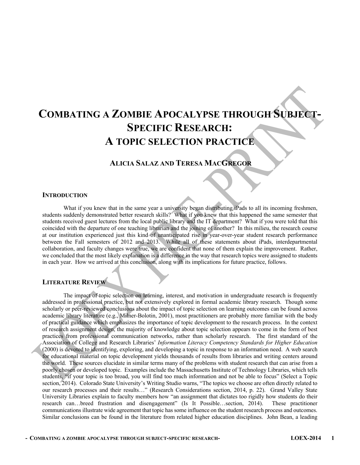# **COMBATING A ZOMBIE APOCALYPSE THROUGH SUBJECT-SPECIFIC RESEARCH: A TOPIC SELECTION PRACTICE**

# **ALICIA SALAZ AND TERESA MACGREGOR**

#### **INTRODUCTION**

What if you knew that in the same year a university began distributing iPads to all its incoming freshmen, students suddenly demonstrated better research skills? What if you knew that this happened the same semester that students received guest lectures from the local public library and the IT department? What if you were told that this coincided with the departure of one teaching librarian and the joining of another? In this milieu, the research course at our institution experienced just this kind of unanticipated rise in year-over-year student research performance between the Fall semesters of 2012 and 2013. While all of these statements about iPads, interdepartmental collaboration, and faculty changes were true, we are confident that none of them explain the improvement. Rather, we concluded that the most likely explanation is a difference in the way that research topics were assigned to students in each year. How we arrived at this conclusion, along with its implications for future practice, follows.

### **LITERATURE REVIEW**

The impact of topic selection on learning, interest, and motivation in undergraduate research is frequently addressed in professional practice, but not extensively explored in formal academic library research. Though some scholarly or peer-reviewed conclusions about the impact of topic selection on learning outcomes can be found across academic library literature (e.g., Milner-Bolotin, 2001), most practitioners are probably more familiar with the body of practical guidance which emphasizes the importance of topic development to the research process. In the context of research assignment design, the majority of knowledge about topic selection appears to come in the form of best practices from professional communication networks, rather than scholarly research. The first standard of the Association of College and Research Libraries' *Information Literacy Competency Standards for Higher Education* (2000) is devoted to identifying, exploring, and developing a topic in response to an information need. A web search for educational material on topic development yields thousands of results from libraries and writing centers around the world. These sources elucidate in similar terms many of the problems with student research that can arise from a poorly chosen or developed topic. Examples include the Massachusetts Institute of Technology Libraries, which tells students, "if your topic is too broad, you will find too much information and not be able to focus" (Select a Topic section, 2014). Colorado State University's Writing Studio warns, "The topics we choose are often directly related to our research processes and their results…" (Research Considerations section, 2014, p. 22). Grand Valley State University Libraries explain to faculty members how "an assignment that dictates too rigidly how students do their research can…breed frustration and disengagement" (Is It Possible…section, 2014). These practitioner communications illustrate wide agreement that topic has some influence on the student research process and outcomes. Similar conclusions can be found in the literature from related higher education disciplines. John Bean, a leading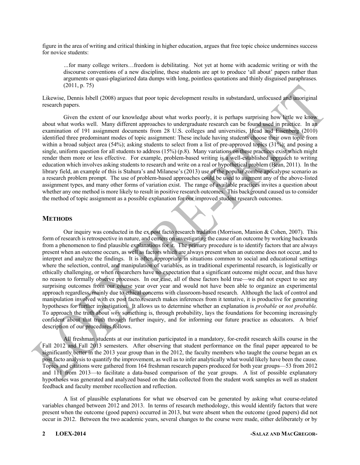figure in the area of writing and critical thinking in higher education, argues that free topic choice undermines success for novice students:

*…*for many college writers…freedom is debilitating. Not yet at home with academic writing or with the discourse conventions of a new discipline, these students are apt to produce 'all about' papers rather than arguments or quasi-plagiarized data dumps with long, pointless quotations and thinly disguised paraphrases*.*  (2011, p. 75)

Likewise, Dennis Isbell (2008) argues that poor topic development results in substandard, unfocused and unoriginal research papers.

Given the extent of our knowledge about what works poorly, it is perhaps surprising how little we know about what works well. Many different approaches to undergraduate research can be found used in practice. In an examination of 191 assignment documents from 28 U.S. colleges and universities, Head and Eisenberg (2010) identified three predominant modes of topic assignment: These include having students choose their own topic from within a broad subject area (54%); asking students to select from a list of pre-approved topics (31%); and posing a single, uniform question for all students to address (15%) (p.8). Many variations on these practices exist which might render them more or less effective. For example, problem-based writing is a well-established approach to writing education which involves asking students to research and write on a real or hypothetical problem (Bean, 2011). In the library field, an example of this is Stahura's and Milanese's (2013) use of the popular zombie apocalypse scenario as a research problem prompt. The use of problem-based approaches could be used to augment any of the above-listed assignment types, and many other forms of variation exist. The range of available practices invites a question about whether any one method is more likely to result in positive research outcomes. This background caused us to consider the method of topic assignment as a possible explanation for our improved student research outcomes.

#### **METHODS**

Our inquiry was conducted in the ex post facto research tradition (Morrison, Manion & Cohen, 2007). This form of research is retrospective in nature, and centers on investigating the cause of an outcome by working backwards from a phenomenon to find plausible explanations for it. The primary procedure is to identify factors that are always present when an outcome occurs, as well as factors which are always present when an outcome does not occur, and to interpret and analyze the findings. It is often appropriate in situations common to social and educational settings where the selection, control, and manipulation of variables, as in traditional experimental research, is logistically or ethically challenging, or when researchers have no expectation that a significant outcome might occur, and thus have no reason to formally observe processes. In our case, all of these factors hold true—we did not expect to see any surprising outcomes from our course year over year and would not have been able to organize an experimental approach regardless, mainly due to ethical concerns with classroom-based research. Although the lack of control and manipulation involved with ex post facto research makes inferences from it tentative, it is productive for generating hypotheses for further investigation. It allows us to determine whether an explanation is *probable* or *not probable.*  To approach the truth about *why* something is, through probability, lays the foundations for becoming increasingly confident about that truth through further inquiry, and for informing our future practice as educators. A brief description of our procedures follows.

All freshman students at our institution participated in a mandatory, for-credit research skills course in the Fall 2012 and Fall 2013 semesters. After observing that student performance on the final paper appeared to be significantly better in the 2013 year group than in the 2012, the faculty members who taught the course began an ex post facto analysis to quantify the improvement, as well as to infer analytically what would likely have been the cause. Topics and citations were gathered from 164 freshman research papers produced for both year groups—53 from 2012 and 111 from 2013—to facilitate a data-based comparison of the year groups. A list of possible explanatory hypotheses was generated and analyzed based on the data collected from the student work samples as well as student feedback and faculty member recollection and reflection.

A list of plausible explanations for what we observed can be generated by asking what course-related variables changed between 2012 and 2013. In terms of research methodology, this would identify factors that were present when the outcome (good papers) occurred in 2013, but were absent when the outcome (good papers) did not occur in 2012. Between the two academic years, several changes to the course were made, either deliberately or by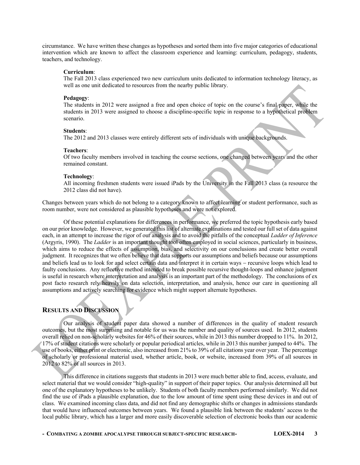circumstance. We have written these changes as hypotheses and sorted them into five major categories of educational intervention which are known to affect the classroom experience and learning: curriculum, pedagogy, students, teachers, and technology.

#### **Curriculum**:

The Fall 2013 class experienced two new curriculum units dedicated to information technology literacy, as well as one unit dedicated to resources from the nearby public library.

#### **Pedagogy**:

The students in 2012 were assigned a free and open choice of topic on the course's final paper, while the students in 2013 were assigned to choose a discipline-specific topic in response to a hypothetical problem scenario.

#### **Students**:

The 2012 and 2013 classes were entirely different sets of individuals with unique backgrounds.

#### **Teachers**:

Of two faculty members involved in teaching the course sections, one changed between years and the other remained constant.

#### **Technology**:

All incoming freshmen students were issued iPads by the University in the Fall 2013 class (a resource the 2012 class did not have).

Changes between years which do not belong to a category known to affect learning or student performance, such as room number, were not considered as plausible hypotheses and were not explored.

Of these potential explanations for differences in performance, we preferred the topic hypothesis early based on our prior knowledge. However, we generated this list of alternate explanations and tested our full set of data against each, in an attempt to increase the rigor of our analysis and to avoid the pitfalls of the conceptual *Ladder of Inference* (Argyris, 1990). The *Ladder* is an important thought tool often employed in social sciences, particularly in business, which aims to reduce the effects of assumption, bias, and selectivity on our conclusions and create better overall judgment. It recognizes that we often believe that data supports our assumptions and beliefs because our assumptions and beliefs lead us to look for and select certain data and interpret it in certain ways – recursive loops which lead to faulty conclusions. Any reflective method intended to break possible recursive thought-loops and enhance judgment is useful in research where interpretation and analysis is an important part of the methodology. The conclusions of ex post facto research rely heavily on data selection, interpretation, and analysis, hence our care in questioning all assumptions and actively searching for evidence which might support alternate hypotheses.

## **RESULTS AND DISCUSSION**

Our analysis of student paper data showed a number of differences in the quality of student research outcomes, but the most surprising and notable for us was the number and quality of sources used. In 2012, students overall relied on non-scholarly websites for 46% of their sources, while in 2013 this number dropped to 11%. In 2012, 17% of student citations were scholarly or popular periodical articles, while in 2013 this number jumped to 44%. The use of books, either print or electronic, also increased from 21% to 39% of all citations year over year. The percentage of scholarly or professional material used, whether article, book, or website, increased from 39% of all sources in 2012 to 82% of all sources in 2013.

This difference in citations suggests that students in 2013 were much better able to find, access, evaluate, and select material that we would consider "high-quality" in support of their paper topics. Our analysis determined all but one of the explanatory hypotheses to be unlikely. Students of both faculty members performed similarly. We did not find the use of iPads a plausible explanation, due to the low amount of time spent using these devices in and out of class. We examined incoming class data, and did not find any demographic shifts or changes in admissions standards that would have influenced outcomes between years. We found a plausible link between the students' access to the local public library, which has a larger and more easily discoverable selection of electronic books than our academic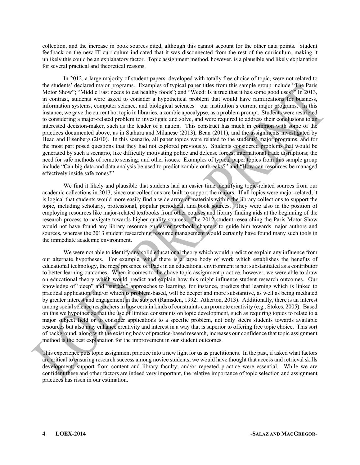collection, and the increase in book sources cited, although this cannot account for the other data points. Student feedback on the new IT curriculum indicated that it was disconnected from the rest of the curriculum, making it unlikely this could be an explanatory factor. Topic assignment method, however, is a plausible and likely explanation for several practical and theoretical reasons.

In 2012, a large majority of student papers, developed with totally free choice of topic, were not related to the students' declared major programs. Examples of typical paper titles from this sample group include "The Paris Motor Show"; "Middle East needs to eat healthy foods"; and "Weed: Is it true that it has some good uses?" In 2013, in contrast, students were asked to consider a hypothetical problem that would have ramifications for business, information systems, computer science, and biological sciences—our institution's current major programs. In this instance, we gave the current hot topic in libraries, a zombie apocalypse, as a problem prompt. Students were restricted to considering a major-related problem to investigate and solve, and were required to address their conclusions to an interested decision-maker, such as the leader of a nation. This construct has much in common with some of the practices documented above, as in Stahura and Milanese (2013), Bean (2011), and the assignments investigated by Head and Eisenberg (2010). In this scenario, all paper topics were related to the students' major programs, and for the most part posed questions that they had not explored previously. Students considered problems that would be generated by such a scenario, like difficulty motivating police and defense forces; international trade disruptions; the need for safe methods of remote sensing; and other issues. Examples of typical paper topics from this sample group include "Can big data and data analysis be used to predict zombie outbreaks?" and "How can resources be managed effectively inside safe zones?"

We find it likely and plausible that students had an easier time identifying topic-related sources from our academic collections in 2013, since our collections are built to support the majors. If all topics were major-related, it is logical that students would more easily find a wide array of materials within the library collections to support the topic, including scholarly, professional, popular periodical, and book sources. They were also in the position of employing resources like major-related textbooks from other courses and library finding aids at the beginning of the research process to navigate towards higher quality sources. The 2012 student researching the Paris Motor Show would not have found any library resource guides or textbook chapters to guide him towards major authors and sources, whereas the 2013 student researching resource management would certainly have found many such tools in the immediate academic environment.

We were not able to identify any solid educational theory which would predict or explain any influence from our alternate hypotheses. For example, while there is a large body of work which establishes the benefits of educational technology, the mere presence of iPads in an educational environment is not substantiated as a contributor to better learning outcomes. When it comes to the above topic assignment practice, however, we were able to draw on educational theory which would predict and explain how this might influence student research outcomes. Our knowledge of "deep" and "surface" approaches to learning, for instance, predicts that learning which is linked to practical application, and/or which is problem-based, will be deeper and more substantive, as well as being mediated by greater interest and engagement in the subject (Ramsden, 1992; Atherton, 2013). Additionally, there is an interest among social science researchers in how certain kinds of constraints can promote creativity (e.g., Stokes, 2005). Based on this we hypothesize that the use of limited constraints on topic development, such as requiring topics to relate to a major subject field or to consider applications to a specific problem, not only steers students towards available resources but also may enhance creativity and interest in a way that is superior to offering free topic choice. This sort of background, along with the existing body of practice-based research, increases our confidence that topic assignment method is the best explanation for the improvement in our student outcomes.

This experience puts topic assignment practice into a new light for us as practitioners. In the past, if asked what factors are critical to ensuring research success among novice students, we would have thought that access and retrieval skills development; support from content and library faculty; and/or repeated practice were essential. While we are confident these and other factors are indeed very important, the relative importance of topic selection and assignment practices has risen in our estimation.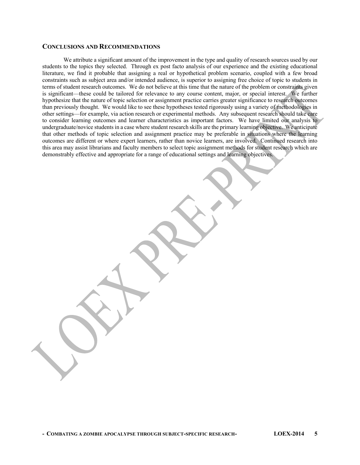#### **CONCLUSIONS AND RECOMMENDATIONS**

We attribute a significant amount of the improvement in the type and quality of research sources used by our students to the topics they selected. Through ex post facto analysis of our experience and the existing educational literature, we find it probable that assigning a real or hypothetical problem scenario, coupled with a few broad constraints such as subject area and/or intended audience, is superior to assigning free choice of topic to students in terms of student research outcomes. We do not believe at this time that the nature of the problem or constraints given is significant—these could be tailored for relevance to any course content, major, or special interest. We further hypothesize that the nature of topic selection or assignment practice carries greater significance to research outcomes than previously thought. We would like to see these hypotheses tested rigorously using a variety of methodologies in other settings—for example, via action research or experimental methods. Any subsequent research should take care to consider learning outcomes and learner characteristics as important factors. We have limited our analysis to undergraduate/novice students in a case where student research skills are the primary learning objective. We anticipate that other methods of topic selection and assignment practice may be preferable in situations where the learning outcomes are different or where expert learners, rather than novice learners, are involved. Continued research into this area may assist librarians and faculty members to select topic assignment methods for student research which are demonstrably effective and appropriate for a range of educational settings and learning objectives.